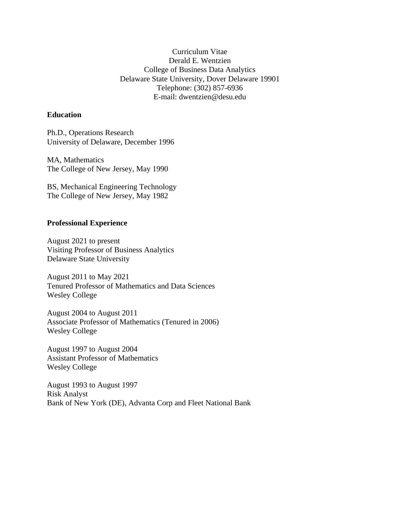Curriculum Vitae Derald E. Wentzien College of Business Data Analytics Delaware State University, Dover Delaware 19901 Telephone: (302) 857-6936 E-mail: dwentzien@desu.edu

## **Education**

Ph.D., Operations Research University of Delaware, December 1996

MA, Mathematics The College of New Jersey, May 1990

BS, Mechanical Engineering Technology The College of New Jersey, May 1982

## **Professional Experience**

August 2021 to present Visiting Professor of Business Analytics Delaware State University

August 2011 to May 2021 Tenured Professor of Mathematics and Data Sciences Wesley College

August 2004 to August 2011 Associate Professor of Mathematics (Tenured in 2006) Wesley College

August 1997 to August 2004 Assistant Professor of Mathematics Wesley College

August 1993 to August 1997 Risk Analyst Bank of New York (DE), Advanta Corp and Fleet National Bank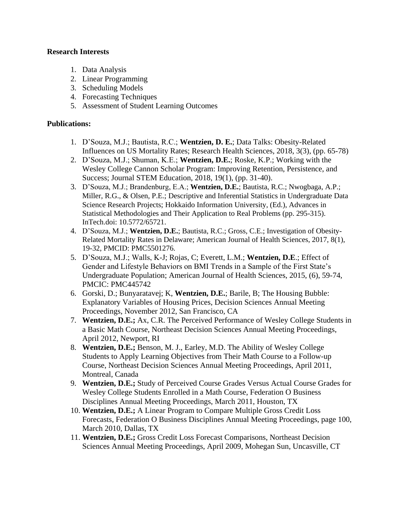## **Research Interests**

- 1. Data Analysis
- 2. Linear Programming
- 3. Scheduling Models
- 4. Forecasting Techniques
- 5. Assessment of Student Learning Outcomes

# **Publications:**

- 1. D'Souza, M.J.; Bautista, R.C.; **Wentzien, D. E.**; Data Talks: Obesity-Related Influences on US Mortality Rates; Research Health Sciences, 2018, 3(3), (pp. 65-78)
- 2. D'Souza, M.J.; Shuman, K.E.; **Wentzien, D.E.**; Roske, K.P.; Working with the Wesley College Cannon Scholar Program: Improving Retention, Persistence, and Success; Journal STEM Education, 2018, 19(1), (pp. 31-40).
- 3. D'Souza, M.J.; Brandenburg, E.A.; **Wentzien, D.E.**; Bautista, R.C.; Nwogbaga, A.P.; Miller, R.G., & Olsen, P.E.; Descriptive and Inferential Statistics in Undergraduate Data Science Research Projects; Hokkaido Information University, (Ed.), Advances in Statistical Methodologies and Their Application to Real Problems (pp. 295-315). InTech.doi: 10.5772/65721.
- 4. D'Souza, M.J.; **Wentzien, D.E.**; Bautista, R.C.; Gross, C.E.; Investigation of Obesity-Related Mortality Rates in Delaware; American Journal of Health Sciences, 2017, 8(1), 19-32, PMCID: PMC5501276.
- 5. D'Souza, M.J.; Walls, K-J; Rojas, C; Everett, L.M.; **Wentzien, D.E**.; Effect of Gender and Lifestyle Behaviors on BMI Trends in a Sample of the First State's Undergraduate Population; American Journal of Health Sciences, 2015, (6), 59-74, PMCIC: PMC445742
- 6. Gorski, D.; Bunyaratavej; K, **Wentzien, D.E.**; Barile, B; The Housing Bubble: Explanatory Variables of Housing Prices, Decision Sciences Annual Meeting Proceedings, November 2012, San Francisco, CA
- 7. **Wentzien, D.E.;** Ax, C.R. The Perceived Performance of Wesley College Students in a Basic Math Course, Northeast Decision Sciences Annual Meeting Proceedings, April 2012, Newport, RI
- 8. **Wentzien, D.E.;** Benson, M. J., Earley, M.D. The Ability of Wesley College Students to Apply Learning Objectives from Their Math Course to a Follow-up Course, Northeast Decision Sciences Annual Meeting Proceedings, April 2011, Montreal, Canada
- 9. **Wentzien, D.E.;** Study of Perceived Course Grades Versus Actual Course Grades for Wesley College Students Enrolled in a Math Course, Federation O Business Disciplines Annual Meeting Proceedings, March 2011, Houston, TX
- 10. **Wentzien, D.E.;** A Linear Program to Compare Multiple Gross Credit Loss Forecasts, Federation O Business Disciplines Annual Meeting Proceedings, page 100, March 2010, Dallas, TX
- 11. **Wentzien, D.E.;** Gross Credit Loss Forecast Comparisons, Northeast Decision Sciences Annual Meeting Proceedings, April 2009, Mohegan Sun, Uncasville, CT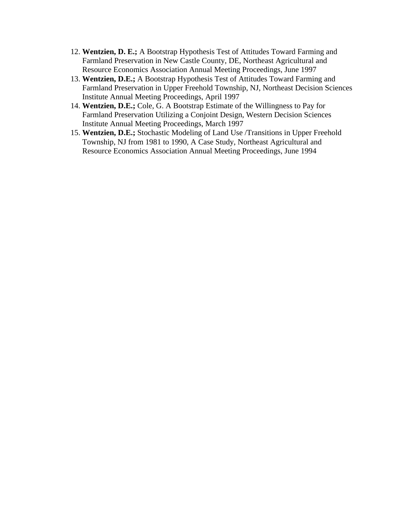- 12. **Wentzien, D. E.;** A Bootstrap Hypothesis Test of Attitudes Toward Farming and Farmland Preservation in New Castle County, DE, Northeast Agricultural and Resource Economics Association Annual Meeting Proceedings, June 1997
- 13. **Wentzien, D.E.;** A Bootstrap Hypothesis Test of Attitudes Toward Farming and Farmland Preservation in Upper Freehold Township, NJ, Northeast Decision Sciences Institute Annual Meeting Proceedings, April 1997
- 14. **Wentzien, D.E.;** Cole, G. A Bootstrap Estimate of the Willingness to Pay for Farmland Preservation Utilizing a Conjoint Design, Western Decision Sciences Institute Annual Meeting Proceedings, March 1997
- 15. **Wentzien, D.E.;** Stochastic Modeling of Land Use /Transitions in Upper Freehold Township, NJ from 1981 to 1990, A Case Study, Northeast Agricultural and Resource Economics Association Annual Meeting Proceedings, June 1994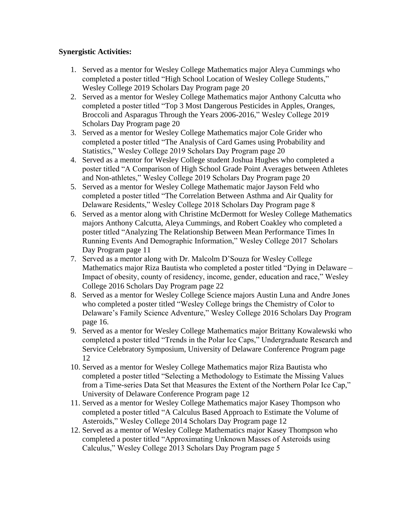# **Synergistic Activities:**

- 1. Served as a mentor for Wesley College Mathematics major Aleya Cummings who completed a poster titled "High School Location of Wesley College Students," Wesley College 2019 Scholars Day Program page 20
- 2. Served as a mentor for Wesley College Mathematics major Anthony Calcutta who completed a poster titled "Top 3 Most Dangerous Pesticides in Apples, Oranges, Broccoli and Asparagus Through the Years 2006-2016," Wesley College 2019 Scholars Day Program page 20
- 3. Served as a mentor for Wesley College Mathematics major Cole Grider who completed a poster titled "The Analysis of Card Games using Probability and Statistics," Wesley College 2019 Scholars Day Program page 20
- 4. Served as a mentor for Wesley College student Joshua Hughes who completed a poster titled "A Comparison of High School Grade Point Averages between Athletes and Non-athletes," Wesley College 2019 Scholars Day Program page 20
- 5. Served as a mentor for Wesley College Mathematic major Jayson Feld who completed a poster titled "The Correlation Between Asthma and Air Quality for Delaware Residents," Wesley College 2018 Scholars Day Program page 8
- 6. Served as a mentor along with Christine McDermott for Wesley College Mathematics majors Anthony Calcutta, Aleya Cummings, and Robert Coakley who completed a poster titled "Analyzing The Relationship Between Mean Performance Times In Running Events And Demographic Information," Wesley College 2017 Scholars Day Program page 11
- 7. Served as a mentor along with Dr. Malcolm D'Souza for Wesley College Mathematics major Riza Bautista who completed a poster titled "Dying in Delaware – Impact of obesity, county of residency, income, gender, education and race," Wesley College 2016 Scholars Day Program page 22
- 8. Served as a mentor for Wesley College Science majors Austin Luna and Andre Jones who completed a poster titled "Wesley College brings the Chemistry of Color to Delaware's Family Science Adventure," Wesley College 2016 Scholars Day Program page 16.
- 9. Served as a mentor for Wesley College Mathematics major Brittany Kowalewski who completed a poster titled "Trends in the Polar Ice Caps," Undergraduate Research and Service Celebratory Symposium, University of Delaware Conference Program page 12
- 10. Served as a mentor for Wesley College Mathematics major Riza Bautista who completed a poster titled "Selecting a Methodology to Estimate the Missing Values from a Time-series Data Set that Measures the Extent of the Northern Polar Ice Cap," University of Delaware Conference Program page 12
- 11. Served as a mentor for Wesley College Mathematics major Kasey Thompson who completed a poster titled "A Calculus Based Approach to Estimate the Volume of Asteroids," Wesley College 2014 Scholars Day Program page 12
- 12. Served as a mentor of Wesley College Mathematics major Kasey Thompson who completed a poster titled "Approximating Unknown Masses of Asteroids using Calculus," Wesley College 2013 Scholars Day Program page 5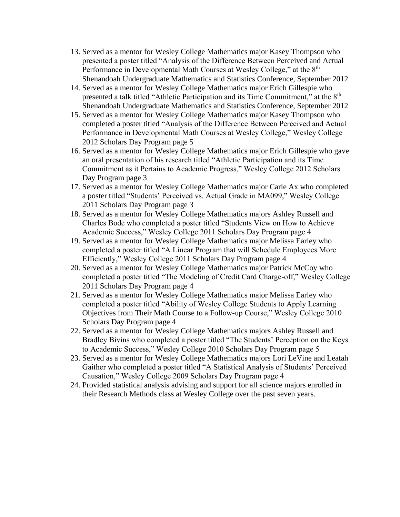- 13. Served as a mentor for Wesley College Mathematics major Kasey Thompson who presented a poster titled "Analysis of the Difference Between Perceived and Actual Performance in Developmental Math Courses at Wesley College," at the 8<sup>th</sup> Shenandoah Undergraduate Mathematics and Statistics Conference, September 2012
- 14. Served as a mentor for Wesley College Mathematics major Erich Gillespie who presented a talk titled "Athletic Participation and its Time Commitment," at the 8<sup>th</sup> Shenandoah Undergraduate Mathematics and Statistics Conference, September 2012
- 15. Served as a mentor for Wesley College Mathematics major Kasey Thompson who completed a poster titled "Analysis of the Difference Between Perceived and Actual Performance in Developmental Math Courses at Wesley College," Wesley College 2012 Scholars Day Program page 5
- 16. Served as a mentor for Wesley College Mathematics major Erich Gillespie who gave an oral presentation of his research titled "Athletic Participation and its Time Commitment as it Pertains to Academic Progress," Wesley College 2012 Scholars Day Program page 3
- 17. Served as a mentor for Wesley College Mathematics major Carle Ax who completed a poster titled "Students' Perceived vs. Actual Grade in MA099," Wesley College 2011 Scholars Day Program page 3
- 18. Served as a mentor for Wesley College Mathematics majors Ashley Russell and Charles Bode who completed a poster titled "Students View on How to Achieve Academic Success," Wesley College 2011 Scholars Day Program page 4
- 19. Served as a mentor for Wesley College Mathematics major Melissa Earley who completed a poster titled "A Linear Program that will Schedule Employees More Efficiently," Wesley College 2011 Scholars Day Program page 4
- 20. Served as a mentor for Wesley College Mathematics major Patrick McCoy who completed a poster titled "The Modeling of Credit Card Charge-off," Wesley College 2011 Scholars Day Program page 4
- 21. Served as a mentor for Wesley College Mathematics major Melissa Earley who completed a poster titled "Ability of Wesley College Students to Apply Learning Objectives from Their Math Course to a Follow-up Course," Wesley College 2010 Scholars Day Program page 4
- 22. Served as a mentor for Wesley College Mathematics majors Ashley Russell and Bradley Bivins who completed a poster titled "The Students' Perception on the Keys to Academic Success," Wesley College 2010 Scholars Day Program page 5
- 23. Served as a mentor for Wesley College Mathematics majors Lori LeVine and Leatah Gaither who completed a poster titled "A Statistical Analysis of Students' Perceived Causation," Wesley College 2009 Scholars Day Program page 4
- 24. Provided statistical analysis advising and support for all science majors enrolled in their Research Methods class at Wesley College over the past seven years.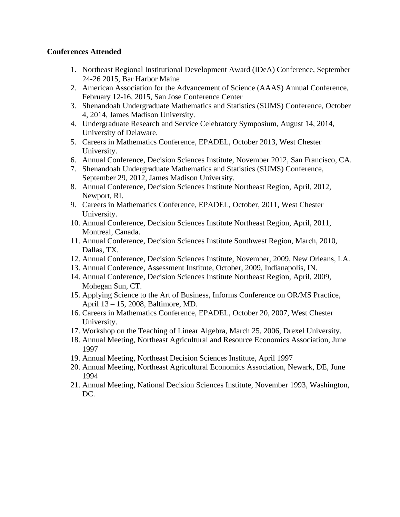### **Conferences Attended**

- 1. Northeast Regional Institutional Development Award (IDeA) Conference, September 24-26 2015, Bar Harbor Maine
- 2. American Association for the Advancement of Science (AAAS) Annual Conference, February 12-16, 2015, San Jose Conference Center
- 3. Shenandoah Undergraduate Mathematics and Statistics (SUMS) Conference, October 4, 2014, James Madison University.
- 4. Undergraduate Research and Service Celebratory Symposium, August 14, 2014, University of Delaware.
- 5. Careers in Mathematics Conference, EPADEL, October 2013, West Chester University.
- 6. Annual Conference, Decision Sciences Institute, November 2012, San Francisco, CA.
- 7. Shenandoah Undergraduate Mathematics and Statistics (SUMS) Conference, September 29, 2012, James Madison University.
- 8. Annual Conference, Decision Sciences Institute Northeast Region, April, 2012, Newport, RI.
- 9. Careers in Mathematics Conference, EPADEL, October, 2011, West Chester University.
- 10. Annual Conference, Decision Sciences Institute Northeast Region, April, 2011, Montreal, Canada.
- 11. Annual Conference, Decision Sciences Institute Southwest Region, March, 2010, Dallas, TX.
- 12. Annual Conference, Decision Sciences Institute, November, 2009, New Orleans, LA.
- 13. Annual Conference, Assessment Institute, October, 2009, Indianapolis, IN.
- 14. Annual Conference, Decision Sciences Institute Northeast Region, April, 2009, Mohegan Sun, CT.
- 15. Applying Science to the Art of Business, Informs Conference on OR/MS Practice, April 13 – 15, 2008, Baltimore, MD.
- 16. Careers in Mathematics Conference, EPADEL, October 20, 2007, West Chester University.
- 17. Workshop on the Teaching of Linear Algebra, March 25, 2006, Drexel University.
- 18. Annual Meeting, Northeast Agricultural and Resource Economics Association, June 1997
- 19. Annual Meeting, Northeast Decision Sciences Institute, April 1997
- 20. Annual Meeting, Northeast Agricultural Economics Association, Newark, DE, June 1994
- 21. Annual Meeting, National Decision Sciences Institute, November 1993, Washington, DC.